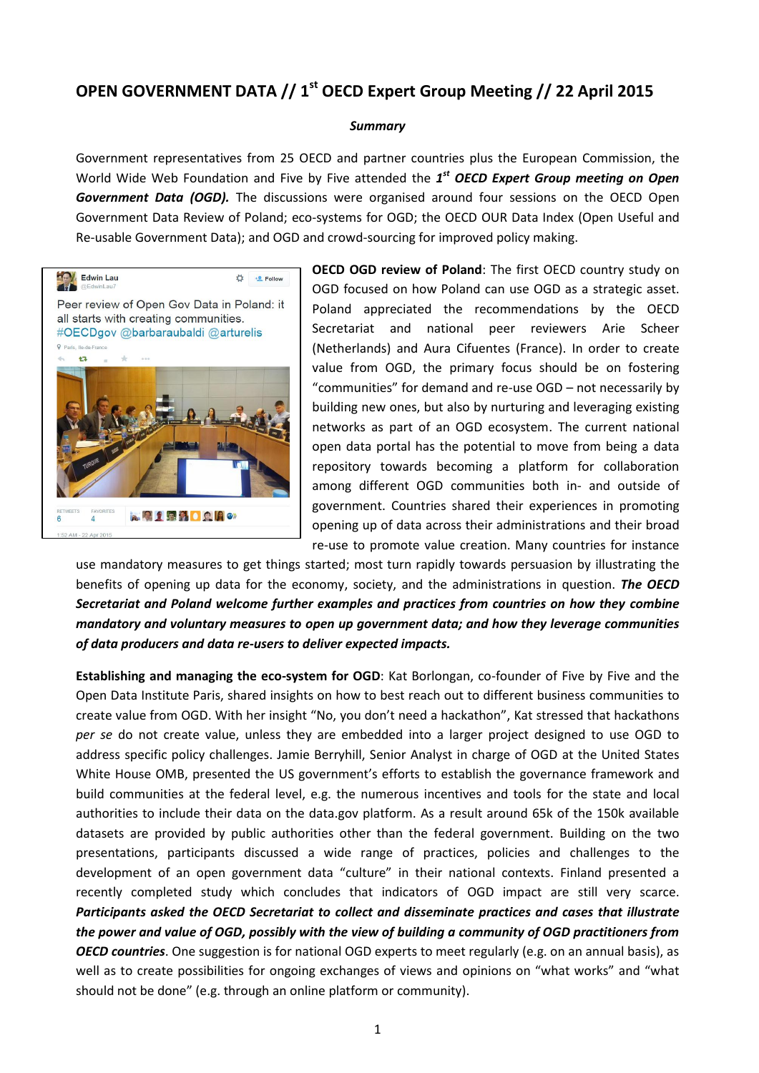## **OPEN GOVERNMENT DATA // 1 st OECD Expert Group Meeting // 22 April 2015**

## *Summary*

Government representatives from 25 OECD and partner countries plus the European Commission, the World Wide Web Foundation and Five by Five attended the 1<sup>st</sup> OECD Expert Group meeting on Open **Government Data (OGD).** The discussions were organised around four sessions on the OECD Open Government Data Review of Poland; eco-systems for OGD; the OECD OUR Data Index (Open Useful and Re-usable Government Data); and OGD and crowd-sourcing for improved policy making.



**OECD OGD review of Poland**: The first OECD country study on OGD focused on how Poland can use OGD as a strategic asset. Poland appreciated the recommendations by the OECD Secretariat and national peer reviewers Arie Scheer (Netherlands) and Aura Cifuentes (France). In order to create value from OGD, the primary focus should be on fostering "communities" for demand and re-use OGD – not necessarily by building new ones, but also by nurturing and leveraging existing networks as part of an OGD ecosystem. The current national open data portal has the potential to move from being a data repository towards becoming a platform for collaboration among different OGD communities both in- and outside of government. Countries shared their experiences in promoting opening up of data across their administrations and their broad re-use to promote value creation. Many countries for instance

use mandatory measures to get things started; most turn rapidly towards persuasion by illustrating the benefits of opening up data for the economy, society, and the administrations in question. *The OECD Secretariat and Poland welcome further examples and practices from countries on how they combine mandatory and voluntary measures to open up government data; and how they leverage communities of data producers and data re-users to deliver expected impacts.*

**Establishing and managing the eco-system for OGD**: Kat Borlongan, co-founder of Five by Five and the Open Data Institute Paris, shared insights on how to best reach out to different business communities to create value from OGD. With her insight "No, you don't need a hackathon", Kat stressed that hackathons *per se* do not create value, unless they are embedded into a larger project designed to use OGD to address specific policy challenges. Jamie Berryhill, Senior Analyst in charge of OGD at the United States White House OMB, presented the US government's efforts to establish the governance framework and build communities at the federal level, e.g. the numerous incentives and tools for the state and local authorities to include their data on the data.gov platform. As a result around 65k of the 150k available datasets are provided by public authorities other than the federal government. Building on the two presentations, participants discussed a wide range of practices, policies and challenges to the development of an open government data "culture" in their national contexts. Finland presented a recently completed study which concludes that indicators of OGD impact are still very scarce. *Participants asked the OECD Secretariat to collect and disseminate practices and cases that illustrate the power and value of OGD, possibly with the view of building a community of OGD practitioners from OECD countries*. One suggestion is for national OGD experts to meet regularly (e.g. on an annual basis), as well as to create possibilities for ongoing exchanges of views and opinions on "what works" and "what should not be done" (e.g. through an online platform or community).